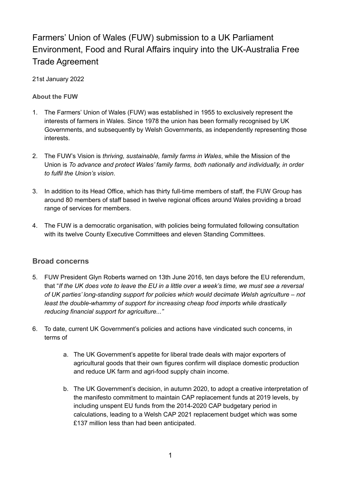# Farmers' Union of Wales (FUW) submission to a UK Parliament Environment, Food and Rural Affairs inquiry into the UK-Australia Free Trade Agreement

#### 21st January 2022

### **About the FUW**

- 1. The Farmers' Union of Wales (FUW) was established in 1955 to exclusively represent the interests of farmers in Wales. Since 1978 the union has been formally recognised by UK Governments, and subsequently by Welsh Governments, as independently representing those interests.
- 2. The FUW's Vision is *thriving, sustainable, family farms in Wales*, while the Mission of the Union is *To advance and protect Wales' family farms, both nationally and individually, in order to fulfil the Union's vision*.
- 3. In addition to its Head Office, which has thirty full-time members of staff, the FUW Group has around 80 members of staff based in twelve regional offices around Wales providing a broad range of services for members.
- 4. The FUW is a democratic organisation, with policies being formulated following consultation with its twelve County Executive Committees and eleven Standing Committees.

# **Broad concerns**

- 5. FUW President Glyn Roberts warned on 13th June 2016, ten days before the EU referendum, that "If the UK does vote to leave the EU in a little over a week's time, we must see a reversal *of UK parties' long-standing support for policies which would decimate Welsh agriculture – not least the double-whammy of support for increasing cheap food imports while drastically reducing financial support for agriculture..."*
- 6. To date, current UK Government's policies and actions have vindicated such concerns, in terms of
	- a. The UK Government's appetite for liberal trade deals with major exporters of agricultural goods that their own figures confirm will displace domestic production and reduce UK farm and agri-food supply chain income.
	- b. The UK Government's decision, in autumn 2020, to adopt a creative interpretation of the manifesto commitment to maintain CAP replacement funds at 2019 levels, by including unspent EU funds from the 2014-2020 CAP budgetary period in calculations, leading to a Welsh CAP 2021 replacement budget which was some £137 million less than had been anticipated.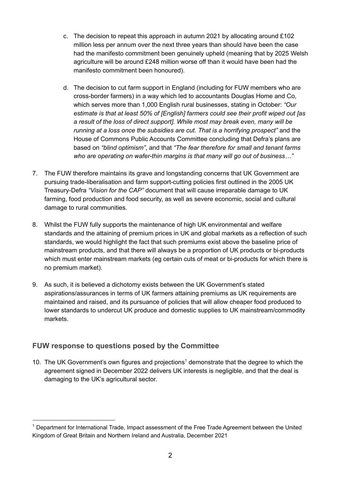- c. The decision to repeat this approach in autumn 2021 by allocating around £102 million less per annum over the next three years than should have been the case had the manifesto commitment been genuinely upheld (meaning that by 2025 Welsh agriculture will be around £248 million worse off than it would have been had the manifesto commitment been honoured).
- d. The decision to cut farm support in England (including for FUW members who are cross-border farmers) in a way which led to accountants Douglas Home and Co, which serves more than 1,000 English rural businesses, stating in October: *"Our estimate is that at least 50% of [English] farmers could see their profit wiped out [as a result of the loss of direct support]. While most may break even, many will be running at a loss once the subsidies are cut. That is a horrifying prospect"* and the House of Commons Public Accounts Committee concluding that Defra's plans are based on *"blind optimism"*, and that *"The fear therefore for small and tenant farms who are operating on wafer-thin margins is that many will go out of business…"*
- 7. The FUW therefore maintains its grave and longstanding concerns that UK Government are pursuing trade-liberalisation and farm support-cutting policies first outlined in the 2005 UK Treasury-Defra *"Vision for the CAP"* document that will cause irreparable damage to UK farming, food production and food security, as well as severe economic, social and cultural damage to rural communities.
- 8. Whilst the FUW fully supports the maintenance of high UK environmental and welfare standards and the attaining of premium prices in UK and global markets as a reflection of such standards, we would highlight the fact that such premiums exist above the baseline price of mainstream products, and that there will always be a proportion of UK products or bi-products which must enter mainstream markets (eg certain cuts of meat or bi-products for which there is no premium market).
- 9. As such, it is believed a dichotomy exists between the UK Government's stated aspirations/assurances in terms of UK farmers attaining premiums as UK requirements are maintained and raised, and its pursuance of policies that will allow cheaper food produced to lower standards to undercut UK produce and domestic supplies to UK mainstream/commodity markets.

# **FUW response to questions posed by the Committee**

10. The UK Government's own figures and projections<sup>1</sup> demonstrate that the degree to which the agreement signed in December 2022 delivers UK interests is negligible, and that the deal is damaging to the UK's agricultural sector.

<sup>&</sup>lt;sup>1</sup> Department for International Trade, Impact assessment of the Free Trade Agreement between the United Kingdom of Great Britain and Northern Ireland and Australia, December 2021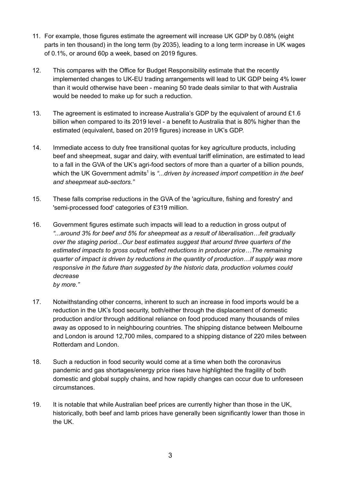- 11. For example, those figures estimate the agreement will increase UK GDP by 0.08% (eight parts in ten thousand) in the long term (by 2035), leading to a long term increase in UK wages of 0.1%, or around 60p a week, based on 2019 figures.
- 12. This compares with the Office for Budget Responsibility estimate that the recently implemented changes to UK-EU trading arrangements will lead to UK GDP being 4% lower than it would otherwise have been - meaning 50 trade deals similar to that with Australia would be needed to make up for such a reduction.
- 13. The agreement is estimated to increase Australia's GDP by the equivalent of around £1.6 billion when compared to its 2019 level - a benefit to Australia that is 80% higher than the estimated (equivalent, based on 2019 figures) increase in UK's GDP.
- 14. Immediate access to duty free transitional quotas for key agriculture products, including beef and sheepmeat, sugar and dairy, with eventual tariff elimination, are estimated to lead to a fall in the GVA of the UK's agri-food sectors of more than a quarter of a billion pounds, which the UK Government admits<sup>1</sup> is "...driven by increased import competition in the beef *and sheepmeat sub-sectors."*
- 15. These falls comprise reductions in the GVA of the 'agriculture, fishing and forestry' and 'semi-processed food' categories of £319 million.
- 16. Government figures estimate such impacts will lead to a reduction in gross output of *"...around 3% for beef and 5% for sheepmeat as a result of liberalisation…felt gradually over the staging period...Our best estimates suggest that around three quarters of the estimated impacts to gross output reflect reductions in producer price…The remaining quarter of impact is driven by reductions in the quantity of production…If supply was more responsive in the future than suggested by the historic data, production volumes could decrease*
	- *by more."*
- 17. Notwithstanding other concerns, inherent to such an increase in food imports would be a reduction in the UK's food security, both/either through the displacement of domestic production and/or through additional reliance on food produced many thousands of miles away as opposed to in neighbouring countries. The shipping distance between Melbourne and London is around 12,700 miles, compared to a shipping distance of 220 miles between Rotterdam and London.
- 18. Such a reduction in food security would come at a time when both the coronavirus pandemic and gas shortages/energy price rises have highlighted the fragility of both domestic and global supply chains, and how rapidly changes can occur due to unforeseen circumstances.
- 19. It is notable that while Australian beef prices are currently higher than those in the UK, historically, both beef and lamb prices have generally been significantly lower than those in the UK.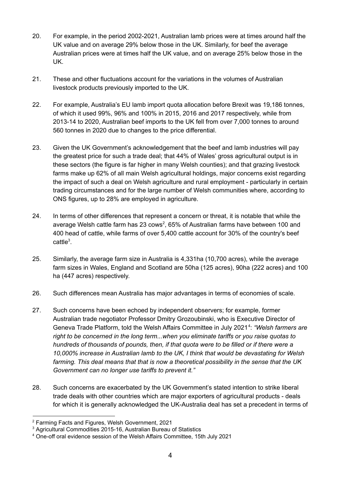- 20. For example, in the period 2002-2021, Australian lamb prices were at times around half the UK value and on average 29% below those in the UK. Similarly, for beef the average Australian prices were at times half the UK value, and on average 25% below those in the UK.
- 21. These and other fluctuations account for the variations in the volumes of Australian livestock products previously imported to the UK.
- 22. For example, Australia's EU lamb import quota allocation before Brexit was 19,186 tonnes, of which it used 99%, 96% and 100% in 2015, 2016 and 2017 respectively, while from 2013-14 to 2020, Australian beef imports to the UK fell from over 7,000 tonnes to around 560 tonnes in 2020 due to changes to the price differential.
- 23. Given the UK Government's acknowledgement that the beef and lamb industries will pay the greatest price for such a trade deal; that 44% of Wales' gross agricultural output is in these sectors (the figure is far higher in many Welsh counties); and that grazing livestock farms make up 62% of all main Welsh agricultural holdings, major concerns exist regarding the impact of such a deal on Welsh agriculture and rural employment - particularly in certain trading circumstances and for the large number of Welsh communities where, according to ONS figures, up to 28% are employed in agriculture.
- 24. In terms of other differences that represent a concern or threat, it is notable that while the average Welsh cattle farm has 23 cows<sup>2</sup>, 65% of Australian farms have between 100 and 400 head of cattle, while farms of over 5,400 cattle account for 30% of the country's beef cattle<sup>3</sup>.
- 25. Similarly, the average farm size in Australia is 4,331ha (10,700 acres), while the average farm sizes in Wales, England and Scotland are 50ha (125 acres), 90ha (222 acres) and 100 ha (447 acres) respectively.
- 26. Such differences mean Australia has major advantages in terms of economies of scale.
- 27. Such concerns have been echoed by independent observers; for example, former Australian trade negotiator Professor Dmitry Grozoubinski, who is Executive Director of Geneva Trade Platform, told the Welsh Affairs Committee in July 2021<sup>4</sup>: "Welsh farmers are *right to be concerned in the long term...when you eliminate tariffs or you raise quotas to hundreds of thousands of pounds, then, if that quota were to be filled or if there were a 10,000% increase in Australian lamb to the UK, I think that would be devastating for Welsh farming. This deal means that that is now a theoretical possibility in the sense that the UK Government can no longer use tariffs to prevent it."*
- 28. Such concerns are exacerbated by the UK Government's stated intention to strike liberal trade deals with other countries which are major exporters of agricultural products - deals for which it is generally acknowledged the UK-Australia deal has set a precedent in terms of

<sup>2</sup> Farming Facts and Figures, Welsh Government, 2021

<sup>&</sup>lt;sup>3</sup> Agricultural Commodities 2015-16, Australian Bureau of Statistics

<sup>4</sup> One-off oral evidence session of the Welsh Affairs Committee, 15th July 2021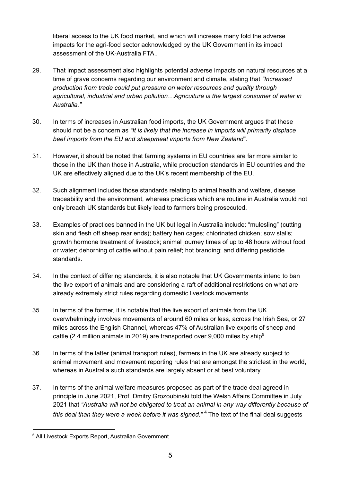liberal access to the UK food market, and which will increase many fold the adverse impacts for the agri-food sector acknowledged by the UK Government in its impact assessment of the UK-Australia FTA..

- 29. That impact assessment also highlights potential adverse impacts on natural resources at a time of grave concerns regarding our environment and climate, stating that *"Increased production from trade could put pressure on water resources and quality through agricultural, industrial and urban pollution…Agriculture is the largest consumer of water in Australia."*
- 30. In terms of increases in Australian food imports, the UK Government argues that these should not be a concern as *"It is likely that the increase in imports will primarily displace beef imports from the EU and sheepmeat imports from New Zealand"*.
- 31. However, it should be noted that farming systems in EU countries are far more similar to those in the UK than those in Australia, while production standards in EU countries and the UK are effectively aligned due to the UK's recent membership of the EU.
- 32. Such alignment includes those standards relating to animal health and welfare, disease traceability and the environment, whereas practices which are routine in Australia would not only breach UK standards but likely lead to farmers being prosecuted.
- 33. Examples of practices banned in the UK but legal in Australia include: "mulesling" (cutting skin and flesh off sheep rear ends); battery hen cages; chlorinated chicken; sow stalls; growth hormone treatment of livestock; animal journey times of up to 48 hours without food or water; dehorning of cattle without pain relief; hot branding; and differing pesticide standards.
- 34. In the context of differing standards, it is also notable that UK Governments intend to ban the live export of animals and are considering a raft of additional restrictions on what are already extremely strict rules regarding domestic livestock movements.
- 35. In terms of the former, it is notable that the live export of animals from the UK overwhelmingly involves movements of around 60 miles or less, across the Irish Sea, or 27 miles across the English Channel, whereas 47% of Australian live exports of sheep and cattle (2.4 million animals in 2019) are transported over 9,000 miles by ship<sup>5</sup>.
- 36. In terms of the latter (animal transport rules), farmers in the UK are already subject to animal movement and movement reporting rules that are amongst the strictest in the world, whereas in Australia such standards are largely absent or at best voluntary.
- 37. In terms of the animal welfare measures proposed as part of the trade deal agreed in principle in June 2021, Prof. Dmitry Grozoubinski told the Welsh Affairs Committee in July 2021 that *"Australia will not be obligated to treat an animal in any way differently because of this deal than they were a week before it was signed."* <sup>4</sup> The text of the final deal suggests

<sup>5</sup> All Livestock Exports Report, Australian Government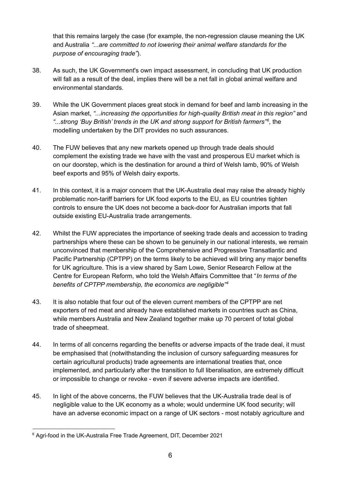that this remains largely the case (for example, the non-regression clause meaning the UK and Australia *"...are committed to not lowering their animal welfare standards for the purpose of encouraging trade"*).

- 38. As such, the UK Government's own impact assessment, in concluding that UK production will fall as a result of the deal, implies there will be a net fall in global animal welfare and environmental standards.
- 39. While the UK Government places great stock in demand for beef and lamb increasing in the Asian market, *"...increasing the opportunities for high-quality British meat in this region"* and *"...strong 'Buy British' trends in the UK and strong support for British farmers"* , the *6* modelling undertaken by the DIT provides no such assurances.
- 40. The FUW believes that any new markets opened up through trade deals should complement the existing trade we have with the vast and prosperous EU market which is on our doorstep, which is the destination for around a third of Welsh lamb, 90% of Welsh beef exports and 95% of Welsh dairy exports.
- 41. In this context, it is a major concern that the UK-Australia deal may raise the already highly problematic non-tariff barriers for UK food exports to the EU, as EU countries tighten controls to ensure the UK does not become a back-door for Australian imports that fall outside existing EU-Australia trade arrangements.
- 42. Whilst the FUW appreciates the importance of seeking trade deals and accession to trading partnerships where these can be shown to be genuinely in our national interests, we remain unconvinced that membership of the Comprehensive and Progressive Transatlantic and Pacific Partnership (CPTPP) on the terms likely to be achieved will bring any major benefits for UK agriculture. This is a view shared by Sam Lowe, Senior Research Fellow at the Centre for European Reform, who told the Welsh Affairs Committee that "*In terms of the benefits of CPTPP membership, the economics are negligible" 4*
- 43. It is also notable that four out of the eleven current members of the CPTPP are net exporters of red meat and already have established markets in countries such as China, while members Australia and New Zealand together make up 70 percent of total global trade of sheepmeat.
- 44. In terms of all concerns regarding the benefits or adverse impacts of the trade deal, it must be emphasised that (notwithstanding the inclusion of cursory safeguarding measures for certain agricultural products) trade agreements are international treaties that, once implemented, and particularly after the transition to full liberalisation, are extremely difficult or impossible to change or revoke - even if severe adverse impacts are identified.
- 45. In light of the above concerns, the FUW believes that the UK-Australia trade deal is of negligible value to the UK economy as a whole; would undermine UK food security; will have an adverse economic impact on a range of UK sectors - most notably agriculture and

<sup>&</sup>lt;sup>6</sup> Agri-food in the UK-Australia Free Trade Agreement, DIT, December 2021